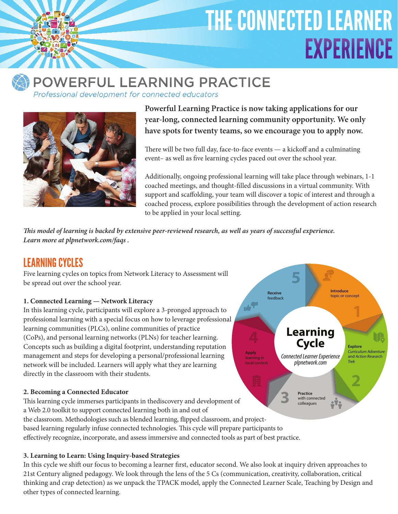# THE CONNECTED LEARNER **EXPERIENCE**



## POWERFUL LEARNING PRACTICE

Professional development for connected educators



**Powerful Learning Practice is now taking applications for our year-long, connected learning community opportunity. We only have spots for twenty teams, so we encourage you to apply now.**

There will be two full day, face-to-face events — a kickoff and a culminating event– as well as five learning cycles paced out over the school year.

Additionally, ongoing professional learning will take place through webinars, 1-1 coached meetings, and thought-filled discussions in a virtual community. With support and scaffolding, your team will discover a topic of interest and through a coached process, explore possibilities through the development of action research to be applied in your local setting.

*This model of learning is backed by extensive peer-reviewed research, as well as years of successful experience. Learn more at plpnetwork.com/faqs .*

## Learning Cycles

Five learning cycles on topics from Network Literacy to Assessment will be spread out over the school year.

#### **1. Connected Learning — Network Literacy**

In this learning cycle, participants will explore a 3-pronged approach to professional learning with a special focus on how to leverage professional learning communities (PLCs), online communities of practice (CoPs), and personal learning networks (PLNs) for teacher learning. Concepts such as building a digital footprint, understanding reputation management and steps for developing a personal/professional learning network will be included. Learners will apply what they are learning directly in the classroom with their students.

#### **2. Becoming a Connected Educator**

This learning cycle immerses participants in thediscovery and development of a Web 2.0 toolkit to support connected learning both in and out of the classroom. Methodologies such as blended learning, flipped classroom, and projectbased learning regularly infuse connected technologies. This cycle will prepare participants to effectively recognize, incorporate, and assess immersive and connected tools as part of best practice.

#### **3. Learning to Learn: Using Inquiry-based Strategies**

In this cycle we shift our focus to becoming a learner first, educator second. We also look at inquiry driven approaches to 21st Century aligned pedagogy. We look through the lens of the 5 Cs (communication, creativity, collaboration, critical thinking and crap detection) as we unpack the TPACK model, apply the Connected Learner Scale, Teaching by Design and other types of connected learning.